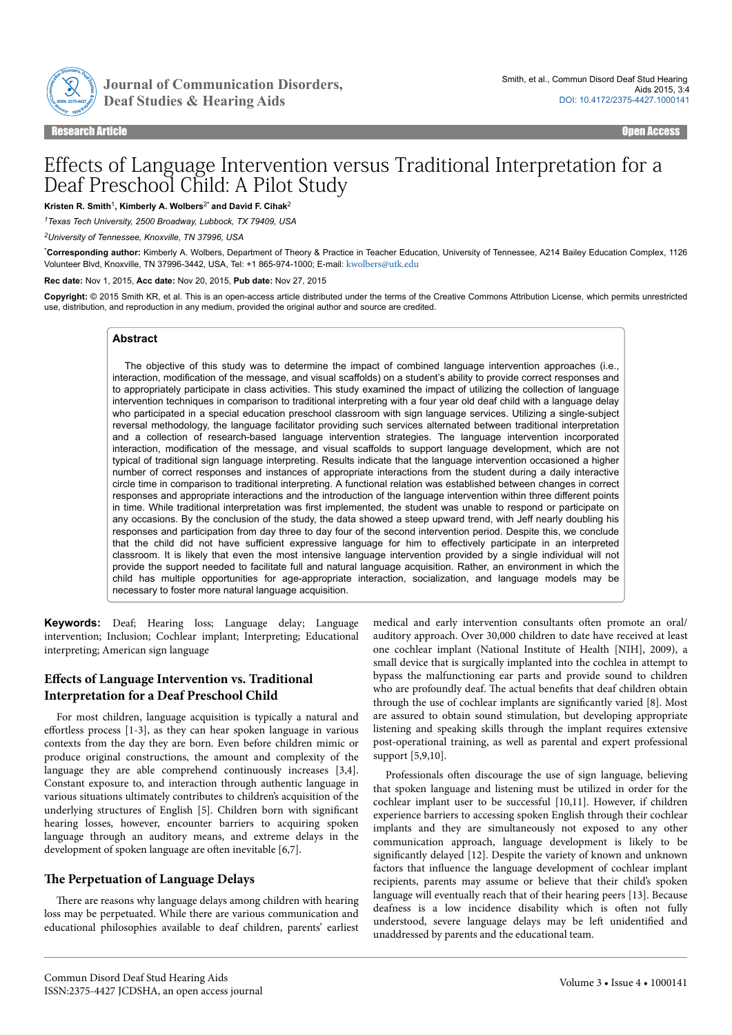

Journal of Communication Disorders,

Research Article Open Access

# Effects of Language Intervention versus Traditional Interpretation for a Deaf Preschool Child: A Pilot Study

**Kristen R. Smith**<sup>1</sup> **, Kimberly A. Wolbers**2\* **and David F. Cihak**<sup>2</sup>

*<sup>1</sup>Texas Tech University, 2500 Broadway, Lubbock, TX 79409, USA*

*<sup>2</sup>University of Tennessee, Knoxville, TN 37996, USA*

\***Corresponding author:** Kimberly A. Wolbers, Department of Theory & Practice in Teacher Education, University of Tennessee, A214 Bailey Education Complex, 1126 Volunteer Blvd, Knoxville, TN 37996-3442, USA, Tel: +1 865-974-1000; E-mail: [kwolbers@utk.edu](mailto:kwolbers@utk.edu)

**Rec date:** Nov 1, 2015, **Acc date:** Nov 20, 2015, **Pub date:** Nov 27, 2015

**Copyright:** © 2015 Smith KR, et al. This is an open-access article distributed under the terms of the Creative Commons Attribution License, which permits unrestricted use, distribution, and reproduction in any medium, provided the original author and source are credited.

## **Abstract**

The objective of this study was to determine the impact of combined language intervention approaches (i.e., interaction, modification of the message, and visual scaffolds) on a student's ability to provide correct responses and to appropriately participate in class activities. This study examined the impact of utilizing the collection of language intervention techniques in comparison to traditional interpreting with a four year old deaf child with a language delay who participated in a special education preschool classroom with sign language services. Utilizing a single-subject reversal methodology, the language facilitator providing such services alternated between traditional interpretation and a collection of research-based language intervention strategies. The language intervention incorporated interaction, modification of the message, and visual scaffolds to support language development, which are not typical of traditional sign language interpreting. Results indicate that the language intervention occasioned a higher number of correct responses and instances of appropriate interactions from the student during a daily interactive circle time in comparison to traditional interpreting. A functional relation was established between changes in correct responses and appropriate interactions and the introduction of the language intervention within three different points in time. While traditional interpretation was first implemented, the student was unable to respond or participate on any occasions. By the conclusion of the study, the data showed a steep upward trend, with Jeff nearly doubling his responses and participation from day three to day four of the second intervention period. Despite this, we conclude that the child did not have sufficient expressive language for him to effectively participate in an interpreted classroom. It is likely that even the most intensive language intervention provided by a single individual will not provide the support needed to facilitate full and natural language acquisition. Rather, an environment in which the child has multiple opportunities for age-appropriate interaction, socialization, and language models may be necessary to foster more natural language acquisition.

**Keywords:** Deaf; Hearing loss; Language delay; Language intervention; Inclusion; Cochlear implant; Interpreting; Educational interpreting; American sign language

# **Effects of Language Intervention vs. Traditional Interpretation for a Deaf Preschool Child**

For most children, language acquisition is typically a natural and effortless process  $[1-3]$ , as they can hear spoken language in various contexts from the day they are born. Even before children mimic or produce original constructions, the amount and complexity of the language they are able comprehend continuously increases [3,4]. Constant exposure to, and interaction through authentic language in various situations ultimately contributes to children's acquisition of the underlying structures of English [5]. Children born with significant hearing losses, however, encounter barriers to acquiring spoken language through an auditory means, and extreme delays in the development of spoken language are often inevitable [6,7].

## **Нe Perpetuation of Language Delays**

There are reasons why language delays among children with hearing loss may be perpetuated. While there are various communication and educational philosophies available to deaf children, parents' earliest

medical and early intervention consultants often promote an oral/ auditory approach. Over 30,000 children to date have received at least one cochlear implant (National Institute of Health [NIH], 2009), a small device that is surgically implanted into the cochlea in attempt to bypass the malfunctioning ear parts and provide sound to children who are profoundly deaf. Нe actual benefits that deaf children obtain through the use of cochlear implants are significantly varied [8]. Most are assured to obtain sound stimulation, but developing appropriate listening and speaking skills through the implant requires extensive post-operational training, as well as parental and expert professional support [5,9,10].

Professionals often discourage the use of sign language, believing that spoken language and listening must be utilized in order for the cochlear implant user to be successful [10,11]. However, if children experience barriers to accessing spoken English through their cochlear implants and they are simultaneously not exposed to any other communication approach, language development is likely to be significantly delayed [12]. Despite the variety of known and unknown factors that influence the language development of cochlear implant recipients, parents may assume or believe that their child's spoken language will eventually reach that of their hearing peers [13]. Because deafness is a low incidence disability which is often not fully understood, severe language delays may be left unidentified and unaddressed by parents and the educational team.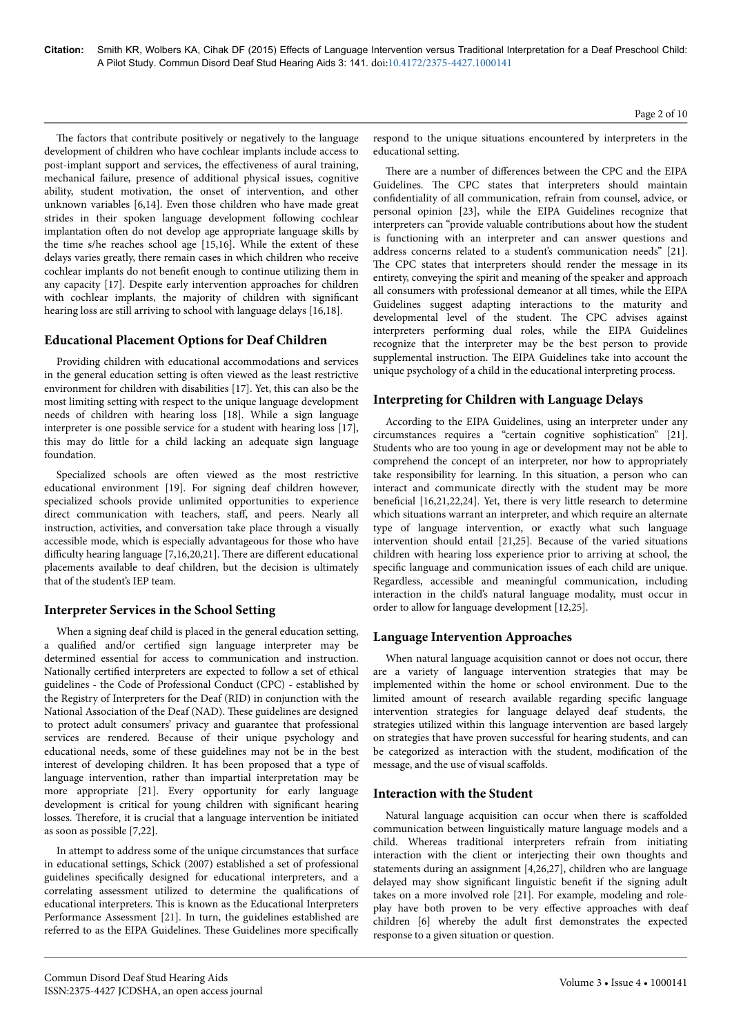The factors that contribute positively or negatively to the language development of children who have cochlear implants include access to post-implant support and services, the effectiveness of aural training, mechanical failure, presence of additional physical issues, cognitive ability, student motivation, the onset of intervention, and other unknown variables [6,14]. Even those children who have made great strides in their spoken language development following cochlear implantation often do not develop age appropriate language skills by the time s/he reaches school age [15,16]. While the extent of these delays varies greatly, there remain cases in which children who receive cochlear implants do not benefit enough to continue utilizing them in any capacity [17]. Despite early intervention approaches for children with cochlear implants, the majority of children with significant hearing loss are still arriving to school with language delays [16,18].

## **Educational Placement Options for Deaf Children**

Providing children with educational accommodations and services in the general education setting is often viewed as the least restrictive environment for children with disabilities [17]. Yet, this can also be the most limiting setting with respect to the unique language development needs of children with hearing loss [18]. While a sign language interpreter is one possible service for a student with hearing loss [17], this may do little for a child lacking an adequate sign language foundation.

Specialized schools are often viewed as the most restrictive educational environment [19]. For signing deaf children however, specialized schools provide unlimited opportunities to experience direct communication with teachers, staff, and peers. Nearly all instruction, activities, and conversation take place through a visually accessible mode, which is especially advantageous for those who have difficulty hearing language [7,16,20,21]. There are different educational placements available to deaf children, but the decision is ultimately that of the student's IEP team.

## **Interpreter Services in the School Setting**

When a signing deaf child is placed in the general education setting, a qualified and/or certified sign language interpreter may be determined essential for access to communication and instruction. Nationally certified interpreters are expected to follow a set of ethical guidelines - the Code of Professional Conduct (CPC) - established by the Registry of Interpreters for the Deaf (RID) in conjunction with the National Association of the Deaf (NAD). Нese guidelines are designed to protect adult consumers' privacy and guarantee that professional services are rendered. Because of their unique psychology and educational needs, some of these guidelines may not be in the best interest of developing children. It has been proposed that a type of language intervention, rather than impartial interpretation may be more appropriate [21]. Every opportunity for early language development is critical for young children with significant hearing losses. Нerefore, it is crucial that a language intervention be initiated as soon as possible [7,22].

In attempt to address some of the unique circumstances that surface in educational settings, Schick (2007) established a set of professional guidelines specifically designed for educational interpreters, and a correlating assessment utilized to determine the qualifications of educational interpreters. Нis is known as the Educational Interpreters Performance Assessment [21]. In turn, the guidelines established are referred to as the EIPA Guidelines. These Guidelines more specifically

respond to the unique situations encountered by interpreters in the educational setting.

There are a number of differences between the CPC and the EIPA Guidelines. Нe CPC states that interpreters should maintain confidentiality of all communication, refrain from counsel, advice, or personal opinion [23], while the EIPA Guidelines recognize that interpreters can "provide valuable contributions about how the student is functioning with an interpreter and can answer questions and address concerns related to a student's communication needs" [21]. The CPC states that interpreters should render the message in its entirety, conveying the spirit and meaning of the speaker and approach all consumers with professional demeanor at all times, while the EIPA Guidelines suggest adapting interactions to the maturity and developmental level of the student. Нe CPC advises against interpreters performing dual roles, while the EIPA Guidelines recognize that the interpreter may be the best person to provide supplemental instruction. Нe EIPA Guidelines take into account the unique psychology of a child in the educational interpreting process.

# **Interpreting for Children with Language Delays**

According to the EIPA Guidelines, using an interpreter under any circumstances requires a "certain cognitive sophistication" [21]. Students who are too young in age or development may not be able to comprehend the concept of an interpreter, nor how to appropriately take responsibility for learning. In this situation, a person who can interact and communicate directly with the student may be more beneficial [16,21,22,24]. Yet, there is very little research to determine which situations warrant an interpreter, and which require an alternate type of language intervention, or exactly what such language intervention should entail [21,25]. Because of the varied situations children with hearing loss experience prior to arriving at school, the specific language and communication issues of each child are unique. Regardless, accessible and meaningful communication, including interaction in the child's natural language modality, must occur in order to allow for language development [12,25].

# **Language Intervention Approaches**

When natural language acquisition cannot or does not occur, there are a variety of language intervention strategies that may be implemented within the home or school environment. Due to the limited amount of research available regarding specific language intervention strategies for language delayed deaf students, the strategies utilized within this language intervention are based largely on strategies that have proven successful for hearing students, and can be categorized as interaction with the student, modification of the message, and the use of visual scaffolds.

## **Interaction with the Student**

Natural language acquisition can occur when there is scaffolded communication between linguistically mature language models and a child. Whereas traditional interpreters refrain from initiating interaction with the client or interjecting their own thoughts and statements during an assignment [4,26,27], children who are language delayed may show significant linguistic benefit if the signing adult takes on a more involved role [21]. For example, modeling and roleplay have both proven to be very effective approaches with deaf children [6] whereby the adult first demonstrates the expected response to a given situation or question.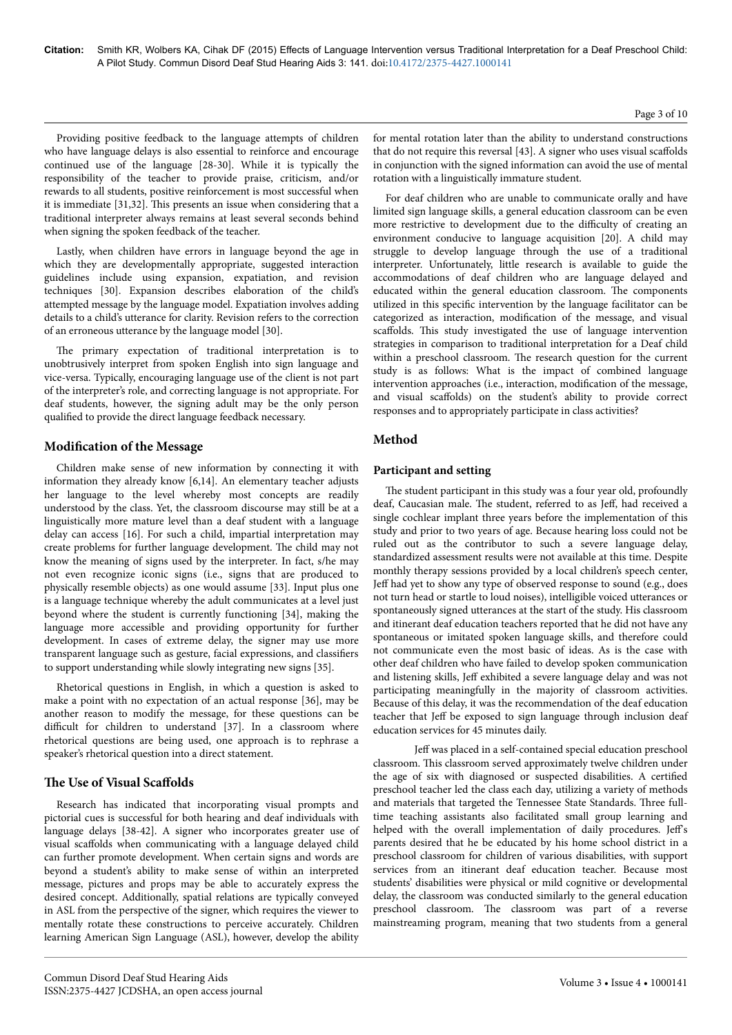Providing positive feedback to the language attempts of children who have language delays is also essential to reinforce and encourage continued use of the language [28-30]. While it is typically the responsibility of the teacher to provide praise, criticism, and/or rewards to all students, positive reinforcement is most successful when it is immediate [31,32]. Нis presents an issue when considering that a traditional interpreter always remains at least several seconds behind when signing the spoken feedback of the teacher.

Lastly, when children have errors in language beyond the age in which they are developmentally appropriate, suggested interaction guidelines include using expansion, expatiation, and revision techniques [30]. Expansion describes elaboration of the child's attempted message by the language model. Expatiation involves adding details to a child's utterance for clarity. Revision refers to the correction of an erroneous utterance by the language model [30].

The primary expectation of traditional interpretation is to unobtrusively interpret from spoken English into sign language and vice-versa. Typically, encouraging language use of the client is not part of the interpreter's role, and correcting language is not appropriate. For deaf students, however, the signing adult may be the only person qualified to provide the direct language feedback necessary.

## **Modification of the Message**

Children make sense of new information by connecting it with information they already know [6,14]. An elementary teacher adjusts her language to the level whereby most concepts are readily understood by the class. Yet, the classroom discourse may still be at a linguistically more mature level than a deaf student with a language delay can access [16]. For such a child, impartial interpretation may create problems for further language development. Нe child may not know the meaning of signs used by the interpreter. In fact, s/he may not even recognize iconic signs (i.e., signs that are produced to physically resemble objects) as one would assume [33]. Input plus one is a language technique whereby the adult communicates at a level just beyond where the student is currently functioning [34], making the language more accessible and providing opportunity for further development. In cases of extreme delay, the signer may use more transparent language such as gesture, facial expressions, and classifiers to support understanding while slowly integrating new signs [35].

Rhetorical questions in English, in which a question is asked to make a point with no expectation of an actual response [36], may be another reason to modify the message, for these questions can be difficult for children to understand [37]. In a classroom where rhetorical questions are being used, one approach is to rephrase a speaker's rhetorical question into a direct statement.

## **The Use of Visual Scaffolds**

Research has indicated that incorporating visual prompts and pictorial cues is successful for both hearing and deaf individuals with language delays [38-42]. A signer who incorporates greater use of visual scaffolds when communicating with a language delayed child can further promote development. When certain signs and words are beyond a student's ability to make sense of within an interpreted message, pictures and props may be able to accurately express the desired concept. Additionally, spatial relations are typically conveyed in ASL from the perspective of the signer, which requires the viewer to mentally rotate these constructions to perceive accurately. Children learning American Sign Language (ASL), however, develop the ability Page 3 of 10

for mental rotation later than the ability to understand constructions that do not require this reversal [43]. A signer who uses visual scaffolds in conjunction with the signed information can avoid the use of mental rotation with a linguistically immature student.

For deaf children who are unable to communicate orally and have limited sign language skills, a general education classroom can be even more restrictive to development due to the difficulty of creating an environment conducive to language acquisition [20]. A child may struggle to develop language through the use of a traditional interpreter. Unfortunately, little research is available to guide the accommodations of deaf children who are language delayed and educated within the general education classroom. Нe components utilized in this specific intervention by the language facilitator can be categorized as interaction, modification of the message, and visual scaffolds. This study investigated the use of language intervention strategies in comparison to traditional interpretation for a Deaf child within a preschool classroom. Нe research question for the current study is as follows: What is the impact of combined language intervention approaches (i.e., interaction, modification of the message, and visual scaffolds) on the student's ability to provide correct responses and to appropriately participate in class activities?

# **Method**

## **Participant and setting**

The student participant in this study was a four year old, profoundly deaf, Caucasian male. The student, referred to as Jeff, had received a single cochlear implant three years before the implementation of this study and prior to two years of age. Because hearing loss could not be ruled out as the contributor to such a severe language delay, standardized assessment results were not available at this time. Despite monthly therapy sessions provided by a local children's speech center, Jeff had yet to show any type of observed response to sound (e.g., does not turn head or startle to loud noises), intelligible voiced utterances or spontaneously signed utterances at the start of the study. His classroom and itinerant deaf education teachers reported that he did not have any spontaneous or imitated spoken language skills, and therefore could not communicate even the most basic of ideas. As is the case with other deaf children who have failed to develop spoken communication and listening skills, Jeff exhibited a severe language delay and was not participating meaningfully in the majority of classroom activities. Because of this delay, it was the recommendation of the deaf education teacher that Jeff be exposed to sign language through inclusion deaf education services for 45 minutes daily.

Jeff was placed in a self-contained special education preschool classroom. Нis classroom served approximately twelve children under the age of six with diagnosed or suspected disabilities. A certified preschool teacher led the class each day, utilizing a variety of methods and materials that targeted the Tennessee State Standards. Нree fulltime teaching assistants also facilitated small group learning and helped with the overall implementation of daily procedures. Jeff's parents desired that he be educated by his home school district in a preschool classroom for children of various disabilities, with support services from an itinerant deaf education teacher. Because most students' disabilities were physical or mild cognitive or developmental delay, the classroom was conducted similarly to the general education preschool classroom. Нe classroom was part of a reverse mainstreaming program, meaning that two students from a general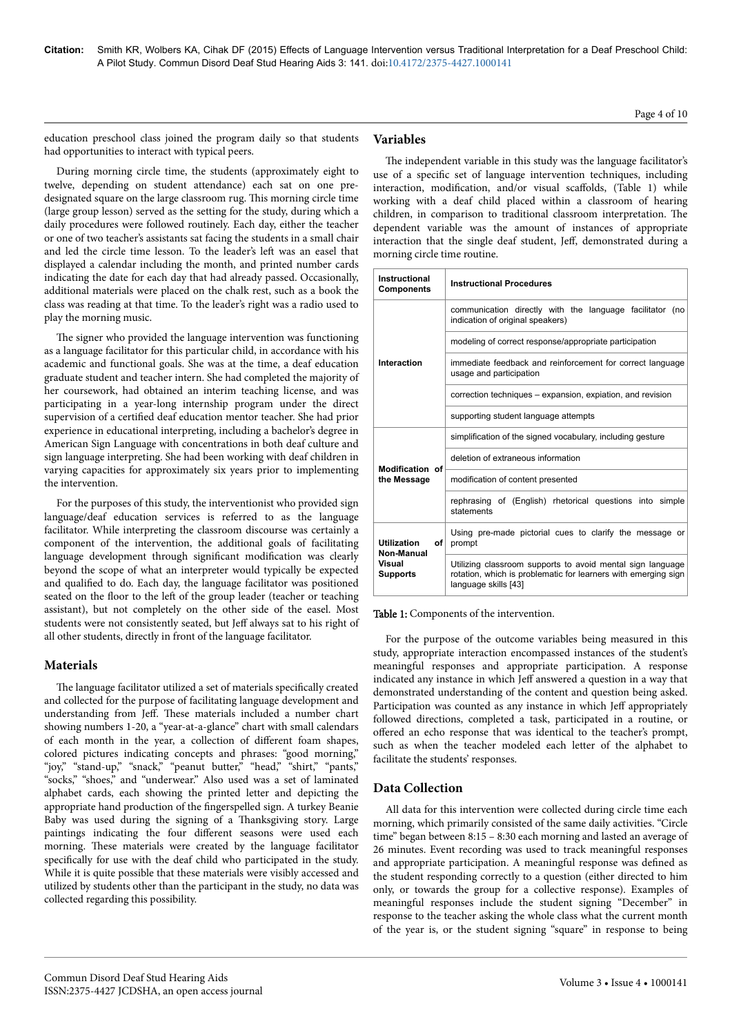Page 4 of 10

education preschool class joined the program daily so that students had opportunities to interact with typical peers.

During morning circle time, the students (approximately eight to twelve, depending on student attendance) each sat on one predesignated square on the large classroom rug. Нis morning circle time (large group lesson) served as the setting for the study, during which a daily procedures were followed routinely. Each day, either the teacher or one of two teacher's assistants sat facing the students in a small chair and led the circle time lesson. To the leader's left was an easel that displayed a calendar including the month, and printed number cards indicating the date for each day that had already passed. Occasionally, additional materials were placed on the chalk rest, such as a book the class was reading at that time. To the leader's right was a radio used to play the morning music.

The signer who provided the language intervention was functioning as a language facilitator for this particular child, in accordance with his academic and functional goals. She was at the time, a deaf education graduate student and teacher intern. She had completed the majority of her coursework, had obtained an interim teaching license, and was participating in a year-long internship program under the direct supervision of a certified deaf education mentor teacher. She had prior experience in educational interpreting, including a bachelor's degree in American Sign Language with concentrations in both deaf culture and sign language interpreting. She had been working with deaf children in varying capacities for approximately six years prior to implementing the intervention.

For the purposes of this study, the interventionist who provided sign language/deaf education services is referred to as the language facilitator. While interpreting the classroom discourse was certainly a component of the intervention, the additional goals of facilitating language development through significant modification was clearly beyond the scope of what an interpreter would typically be expected and qualified to do. Each day, the language facilitator was positioned seated on the floor to the left of the group leader (teacher or teaching assistant), but not completely on the other side of the easel. Most students were not consistently seated, but Jeff always sat to his right of all other students, directly in front of the language facilitator.

## **Materials**

The language facilitator utilized a set of materials specifically created and collected for the purpose of facilitating language development and understanding from Jeff. These materials included a number chart showing numbers 1-20, a "year-at-a-glance" chart with small calendars of each month in the year, a collection of different foam shapes, colored pictures indicating concepts and phrases: "good morning," "joy," "stand-up," "snack," "peanut butter," "head," "shirt," "pants," "socks," "shoes," and "underwear." Also used was a set of laminated alphabet cards, each showing the printed letter and depicting the appropriate hand production of the fingerspelled sign. A turkey Beanie Baby was used during the signing of a Нanksgiving story. Large paintings indicating the four different seasons were used each morning. Нese materials were created by the language facilitator specifically for use with the deaf child who participated in the study. While it is quite possible that these materials were visibly accessed and utilized by students other than the participant in the study, no data was collected regarding this possibility.

# **Variables**

The independent variable in this study was the language facilitator's use of a specific set of language intervention techniques, including interaction, modification, and/or visual scaffolds, (Table 1) while working with a deaf child placed within a classroom of hearing children, in comparison to traditional classroom interpretation. Нe dependent variable was the amount of instances of appropriate interaction that the single deaf student, Jeff, demonstrated during a morning circle time routine.

| <b>Instructional</b><br><b>Components</b>                           | <b>Instructional Procedures</b>                                                                                                                      |
|---------------------------------------------------------------------|------------------------------------------------------------------------------------------------------------------------------------------------------|
| Interaction                                                         | communication directly with the language facilitator (no<br>indication of original speakers)                                                         |
|                                                                     | modeling of correct response/appropriate participation                                                                                               |
|                                                                     | immediate feedback and reinforcement for correct language<br>usage and participation                                                                 |
|                                                                     | correction techniques – expansion, expiation, and revision                                                                                           |
|                                                                     | supporting student language attempts                                                                                                                 |
| Modification of<br>the Message                                      | simplification of the signed vocabulary, including gesture                                                                                           |
|                                                                     | deletion of extraneous information                                                                                                                   |
|                                                                     | modification of content presented                                                                                                                    |
|                                                                     | rephrasing of (English) rhetorical questions into simple<br>statements                                                                               |
| <b>Utilization</b><br>οf<br>Non-Manual<br>Visual<br><b>Supports</b> | Using pre-made pictorial cues to clarify the message or<br>prompt                                                                                    |
|                                                                     | Utilizing classroom supports to avoid mental sign language<br>rotation, which is problematic for learners with emerging sign<br>language skills [43] |

Table 1: Components of the intervention.

For the purpose of the outcome variables being measured in this study, appropriate interaction encompassed instances of the student's meaningful responses and appropriate participation. A response indicated any instance in which Jeff answered a question in a way that demonstrated understanding of the content and question being asked. Participation was counted as any instance in which Jeff appropriately followed directions, completed a task, participated in a routine, or offered an echo response that was identical to the teacher's prompt, such as when the teacher modeled each letter of the alphabet to facilitate the students' responses.

# **Data Collection**

All data for this intervention were collected during circle time each morning, which primarily consisted of the same daily activities. "Circle time" began between 8:15 – 8:30 each morning and lasted an average of 26 minutes. Event recording was used to track meaningful responses and appropriate participation. A meaningful response was defined as the student responding correctly to a question (either directed to him only, or towards the group for a collective response). Examples of meaningful responses include the student signing "December" in response to the teacher asking the whole class what the current month of the year is, or the student signing "square" in response to being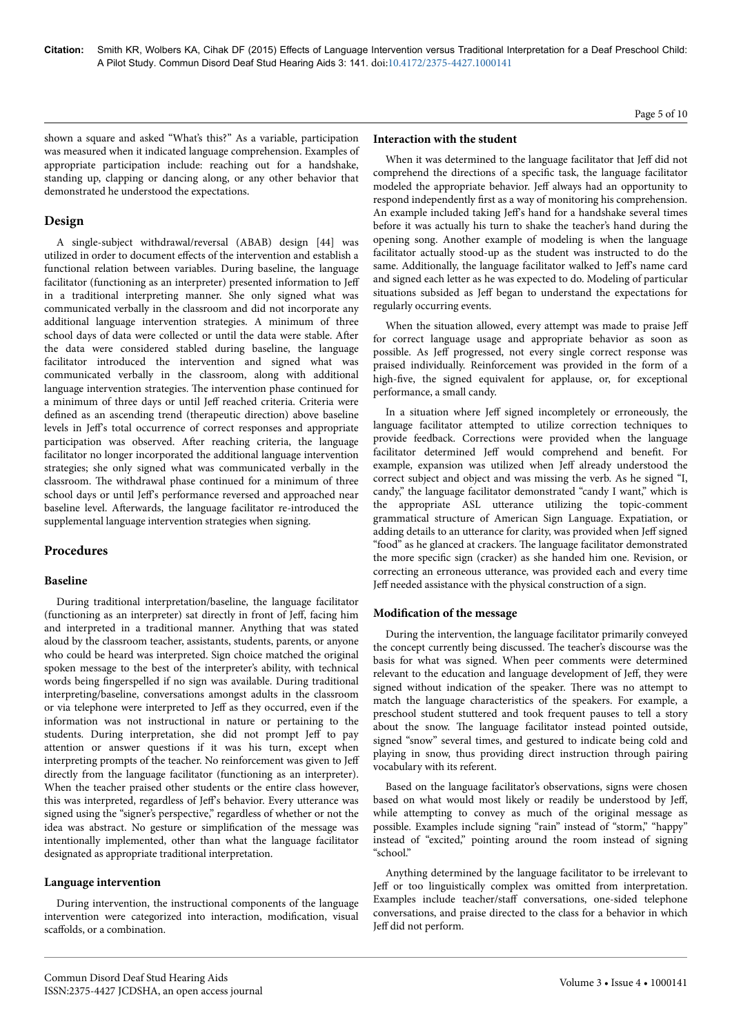shown a square and asked "What's this?" As a variable, participation was measured when it indicated language comprehension. Examples of appropriate participation include: reaching out for a handshake, standing up, clapping or dancing along, or any other behavior that demonstrated he understood the expectations.

## **Design**

A single-subject withdrawal/reversal (ABAB) design [44] was utilized in order to document effects of the intervention and establish a functional relation between variables. During baseline, the language facilitator (functioning as an interpreter) presented information to Jeff in a traditional interpreting manner. She only signed what was communicated verbally in the classroom and did not incorporate any additional language intervention strategies. A minimum of three school days of data were collected or until the data were stable. After the data were considered stabled during baseline, the language facilitator introduced the intervention and signed what was communicated verbally in the classroom, along with additional language intervention strategies. Нe intervention phase continued for a minimum of three days or until Jeff reached criteria. Criteria were defined as an ascending trend (therapeutic direction) above baseline levels in Jeff's total occurrence of correct responses and appropriate participation was observed. After reaching criteria, the language facilitator no longer incorporated the additional language intervention strategies; she only signed what was communicated verbally in the classroom. Нe withdrawal phase continued for a minimum of three school days or until Jeff's performance reversed and approached near baseline level. Afterwards, the language facilitator re-introduced the supplemental language intervention strategies when signing.

## **Procedures**

#### **Baseline**

During traditional interpretation/baseline, the language facilitator (functioning as an interpreter) sat directly in front of Jeff, facing him and interpreted in a traditional manner. Anything that was stated aloud by the classroom teacher, assistants, students, parents, or anyone who could be heard was interpreted. Sign choice matched the original spoken message to the best of the interpreter's ability, with technical words being fingerspelled if no sign was available. During traditional interpreting/baseline, conversations amongst adults in the classroom or via telephone were interpreted to Jeff as they occurred, even if the information was not instructional in nature or pertaining to the students. During interpretation, she did not prompt Jeff to pay attention or answer questions if it was his turn, except when interpreting prompts of the teacher. No reinforcement was given to Jeff directly from the language facilitator (functioning as an interpreter). When the teacher praised other students or the entire class however, this was interpreted, regardless of Jeff's behavior. Every utterance was signed using the "signer's perspective," regardless of whether or not the idea was abstract. No gesture or simplification of the message was intentionally implemented, other than what the language facilitator designated as appropriate traditional interpretation.

#### **Language intervention**

During intervention, the instructional components of the language intervention were categorized into interaction, modification, visual scaffolds, or a combination.

#### **Interaction with the student**

When it was determined to the language facilitator that Jeff did not comprehend the directions of a specific task, the language facilitator modeled the appropriate behavior. Jeff always had an opportunity to respond independently first as a way of monitoring his comprehension. An example included taking Jeff's hand for a handshake several times before it was actually his turn to shake the teacher's hand during the opening song. Another example of modeling is when the language facilitator actually stood-up as the student was instructed to do the same. Additionally, the language facilitator walked to Jeff's name card and signed each letter as he was expected to do. Modeling of particular situations subsided as Jeff began to understand the expectations for regularly occurring events.

When the situation allowed, every attempt was made to praise Jeff for correct language usage and appropriate behavior as soon as possible. As Jeff progressed, not every single correct response was praised individually. Reinforcement was provided in the form of a high-five, the signed equivalent for applause, or, for exceptional performance, a small candy.

In a situation where Jeff signed incompletely or erroneously, the language facilitator attempted to utilize correction techniques to provide feedback. Corrections were provided when the language facilitator determined Jeff would comprehend and benefit. For example, expansion was utilized when Jeff already understood the correct subject and object and was missing the verb. As he signed "I, candy," the language facilitator demonstrated "candy I want," which is the appropriate ASL utterance utilizing the topic-comment grammatical structure of American Sign Language. Expatiation, or adding details to an utterance for clarity, was provided when Jeff signed "food" as he glanced at crackers. Нe language facilitator demonstrated the more specific sign (cracker) as she handed him one. Revision, or correcting an erroneous utterance, was provided each and every time Jeff needed assistance with the physical construction of a sign.

#### **Modification of the message**

During the intervention, the language facilitator primarily conveyed the concept currently being discussed. Нe teacher's discourse was the basis for what was signed. When peer comments were determined relevant to the education and language development of Jeff, they were signed without indication of the speaker. Нere was no attempt to match the language characteristics of the speakers. For example, a preschool student stuttered and took frequent pauses to tell a story about the snow. Нe language facilitator instead pointed outside, signed "snow" several times, and gestured to indicate being cold and playing in snow, thus providing direct instruction through pairing vocabulary with its referent.

Based on the language facilitator's observations, signs were chosen based on what would most likely or readily be understood by Jeff, while attempting to convey as much of the original message as possible. Examples include signing "rain" instead of "storm," "happy" instead of "excited," pointing around the room instead of signing "school."

Anything determined by the language facilitator to be irrelevant to Jeff or too linguistically complex was omitted from interpretation. Examples include teacher/staff conversations, one-sided telephone conversations, and praise directed to the class for a behavior in which Jeff did not perform.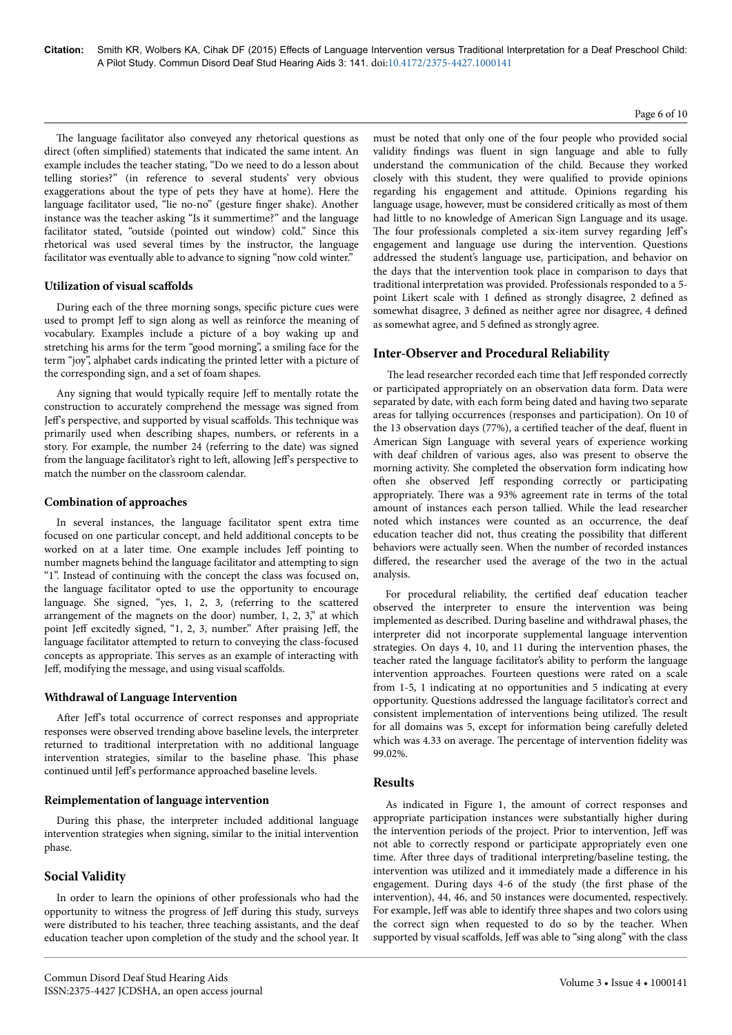#### Page 6 of 10

The language facilitator also conveyed any rhetorical questions as direct (often simplified) statements that indicated the same intent. An example includes the teacher stating, "Do we need to do a lesson about telling stories?" (in reference to several students' very obvious exaggerations about the type of pets they have at home). Here the language facilitator used, "lie no-no" (gesture finger shake). Another instance was the teacher asking "Is it summertime?" and the language facilitator stated, "outside (pointed out window) cold." Since this rhetorical was used several times by the instructor, the language facilitator was eventually able to advance to signing "now cold winter."

## **Utilization of visual scaffolds**

During each of the three morning songs, specific picture cues were used to prompt Jeff to sign along as well as reinforce the meaning of vocabulary. Examples include a picture of a boy waking up and stretching his arms for the term "good morning", a smiling face for the term "joy", alphabet cards indicating the printed letter with a picture of the corresponding sign, and a set of foam shapes.

Any signing that would typically require Jeff to mentally rotate the construction to accurately comprehend the message was signed from Jeff's perspective, and supported by visual scaffolds. This technique was primarily used when describing shapes, numbers, or referents in a story. For example, the number 24 (referring to the date) was signed from the language facilitator's right to left, allowing Jeff's perspective to match the number on the classroom calendar.

## **Combination of approaches**

In several instances, the language facilitator spent extra time focused on one particular concept, and held additional concepts to be worked on at a later time. One example includes Jeff pointing to number magnets behind the language facilitator and attempting to sign "1". Instead of continuing with the concept the class was focused on, the language facilitator opted to use the opportunity to encourage language. She signed, "yes, 1, 2, 3, (referring to the scattered arrangement of the magnets on the door) number, 1, 2, 3," at which point Jeff excitedly signed, "1, 2, 3, number." After praising Jeff, the language facilitator attempted to return to conveying the class-focused concepts as appropriate. Нis serves as an example of interacting with Jeff, modifying the message, and using visual scaffolds.

## **Withdrawal of Language Intervention**

After Jeff's total occurrence of correct responses and appropriate responses were observed trending above baseline levels, the interpreter returned to traditional interpretation with no additional language intervention strategies, similar to the baseline phase. Нis phase continued until Jeff's performance approached baseline levels.

#### **Reimplementation of language intervention**

During this phase, the interpreter included additional language intervention strategies when signing, similar to the initial intervention phase.

## **Social Validity**

In order to learn the opinions of other professionals who had the opportunity to witness the progress of Jeff during this study, surveys were distributed to his teacher, three teaching assistants, and the deaf education teacher upon completion of the study and the school year. It must be noted that only one of the four people who provided social validity findings was fluent in sign language and able to fully understand the communication of the child. Because they worked closely with this student, they were qualified to provide opinions regarding his engagement and attitude. Opinions regarding his language usage, however, must be considered critically as most of them had little to no knowledge of American Sign Language and its usage. The four professionals completed a six-item survey regarding Jeff's engagement and language use during the intervention. Questions addressed the student's language use, participation, and behavior on the days that the intervention took place in comparison to days that traditional interpretation was provided. Professionals responded to a 5 point Likert scale with 1 defined as strongly disagree, 2 defined as somewhat disagree, 3 defined as neither agree nor disagree, 4 defined as somewhat agree, and 5 defined as strongly agree.

# **Inter-Observer and Procedural Reliability**

The lead researcher recorded each time that Jeff responded correctly or participated appropriately on an observation data form. Data were separated by date, with each form being dated and having two separate areas for tallying occurrences (responses and participation). On 10 of the 13 observation days (77%), a certified teacher of the deaf, fluent in American Sign Language with several years of experience working with deaf children of various ages, also was present to observe the morning activity. She completed the observation form indicating how often she observed Jeff responding correctly or participating appropriately. Нere was a 93% agreement rate in terms of the total amount of instances each person tallied. While the lead researcher noted which instances were counted as an occurrence, the deaf education teacher did not, thus creating the possibility that different behaviors were actually seen. When the number of recorded instances differed, the researcher used the average of the two in the actual analysis.

For procedural reliability, the certified deaf education teacher observed the interpreter to ensure the intervention was being implemented as described. During baseline and withdrawal phases, the interpreter did not incorporate supplemental language intervention strategies. On days 4, 10, and 11 during the intervention phases, the teacher rated the language facilitator's ability to perform the language intervention approaches. Fourteen questions were rated on a scale from 1-5, 1 indicating at no opportunities and 5 indicating at every opportunity. Questions addressed the language facilitator's correct and consistent implementation of interventions being utilized. Нe result for all domains was 5, except for information being carefully deleted which was 4.33 on average. The percentage of intervention fidelity was 99.02%.

## **Results**

As indicated in Figure 1, the amount of correct responses and appropriate participation instances were substantially higher during the intervention periods of the project. Prior to intervention, Jeff was not able to correctly respond or participate appropriately even one time. After three days of traditional interpreting/baseline testing, the intervention was utilized and it immediately made a difference in his engagement. During days 4-6 of the study (the first phase of the intervention), 44, 46, and 50 instances were documented, respectively. For example, Jeff was able to identify three shapes and two colors using the correct sign when requested to do so by the teacher. When supported by visual scaffolds, Jeff was able to "sing along" with the class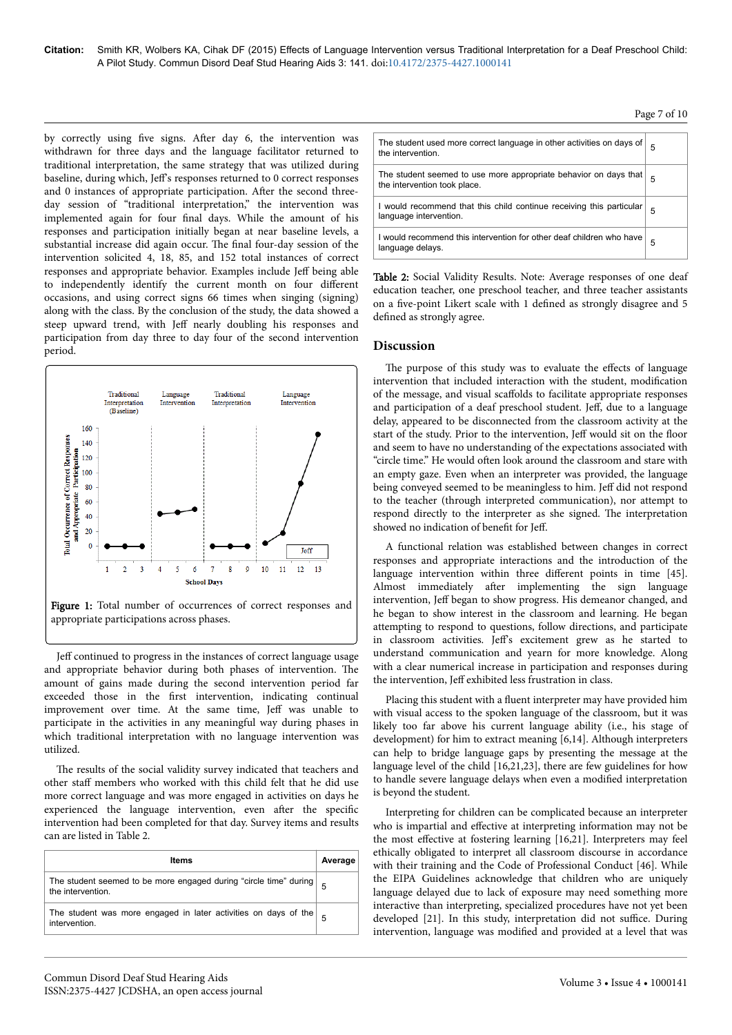by correctly using five signs. After day 6, the intervention was withdrawn for three days and the language facilitator returned to traditional interpretation, the same strategy that was utilized during baseline, during which, Jeff's responses returned to 0 correct responses and 0 instances of appropriate participation. After the second threeday session of "traditional interpretation," the intervention was implemented again for four final days. While the amount of his responses and participation initially began at near baseline levels, a substantial increase did again occur. Нe final four-day session of the intervention solicited 4, 18, 85, and 152 total instances of correct responses and appropriate behavior. Examples include Jeff being able to independently identify the current month on four different occasions, and using correct signs 66 times when singing (signing) along with the class. By the conclusion of the study, the data showed a steep upward trend, with Jeff nearly doubling his responses and participation from day three to day four of the second intervention period.





Jeff continued to progress in the instances of correct language usage and appropriate behavior during both phases of intervention. Нe amount of gains made during the second intervention period far exceeded those in the first intervention, indicating continual improvement over time. At the same time, Jeff was unable to participate in the activities in any meaningful way during phases in which traditional interpretation with no language intervention was utilized.

The results of the social validity survey indicated that teachers and other staff members who worked with this child felt that he did use more correct language and was more engaged in activities on days he experienced the language intervention, even after the specific intervention had been completed for that day. Survey items and results can are listed in Table 2.

| <b>Items</b>                                                                           | Average |
|----------------------------------------------------------------------------------------|---------|
| The student seemed to be more engaged during "circle time" during<br>the intervention. |         |
| The student was more engaged in later activities on days of the<br>intervention.       |         |

Page 7 of 10

| The student used more correct language in other activities on days of<br>the intervention.       | 5 |
|--------------------------------------------------------------------------------------------------|---|
| The student seemed to use more appropriate behavior on days that<br>the intervention took place. | 5 |
| I would recommend that this child continue receiving this particular<br>language intervention.   | 5 |
| I would recommend this intervention for other deaf children who have<br>language delays.         | 5 |

Table 2: Social Validity Results. Note: Average responses of one deaf education teacher, one preschool teacher, and three teacher assistants on a five-point Likert scale with 1 defined as strongly disagree and 5 defined as strongly agree.

## **Discussion**

The purpose of this study was to evaluate the effects of language intervention that included interaction with the student, modification of the message, and visual scaffolds to facilitate appropriate responses and participation of a deaf preschool student. Jeff, due to a language delay, appeared to be disconnected from the classroom activity at the start of the study. Prior to the intervention, Jeff would sit on the floor and seem to have no understanding of the expectations associated with "circle time." He would often look around the classroom and stare with an empty gaze. Even when an interpreter was provided, the language being conveyed seemed to be meaningless to him. Jeff did not respond to the teacher (through interpreted communication), nor attempt to respond directly to the interpreter as she signed. Нe interpretation showed no indication of benefit for Jeff.

A functional relation was established between changes in correct responses and appropriate interactions and the introduction of the language intervention within three different points in time [45]. Almost immediately after implementing the sign language intervention, Jeff began to show progress. His demeanor changed, and he began to show interest in the classroom and learning. He began attempting to respond to questions, follow directions, and participate in classroom activities. Jeff's excitement grew as he started to understand communication and yearn for more knowledge. Along with a clear numerical increase in participation and responses during the intervention, Jeff exhibited less frustration in class.

Placing this student with a fluent interpreter may have provided him with visual access to the spoken language of the classroom, but it was likely too far above his current language ability (i.e., his stage of development) for him to extract meaning [6,14]. Although interpreters can help to bridge language gaps by presenting the message at the language level of the child [16,21,23], there are few guidelines for how to handle severe language delays when even a modified interpretation is beyond the student.

Interpreting for children can be complicated because an interpreter who is impartial and effective at interpreting information may not be the most effective at fostering learning [16,21]. Interpreters may feel ethically obligated to interpret all classroom discourse in accordance with their training and the Code of Professional Conduct [46]. While the EIPA Guidelines acknowledge that children who are uniquely language delayed due to lack of exposure may need something more interactive than interpreting, specialized procedures have not yet been developed [21]. In this study, interpretation did not suffice. During intervention, language was modified and provided at a level that was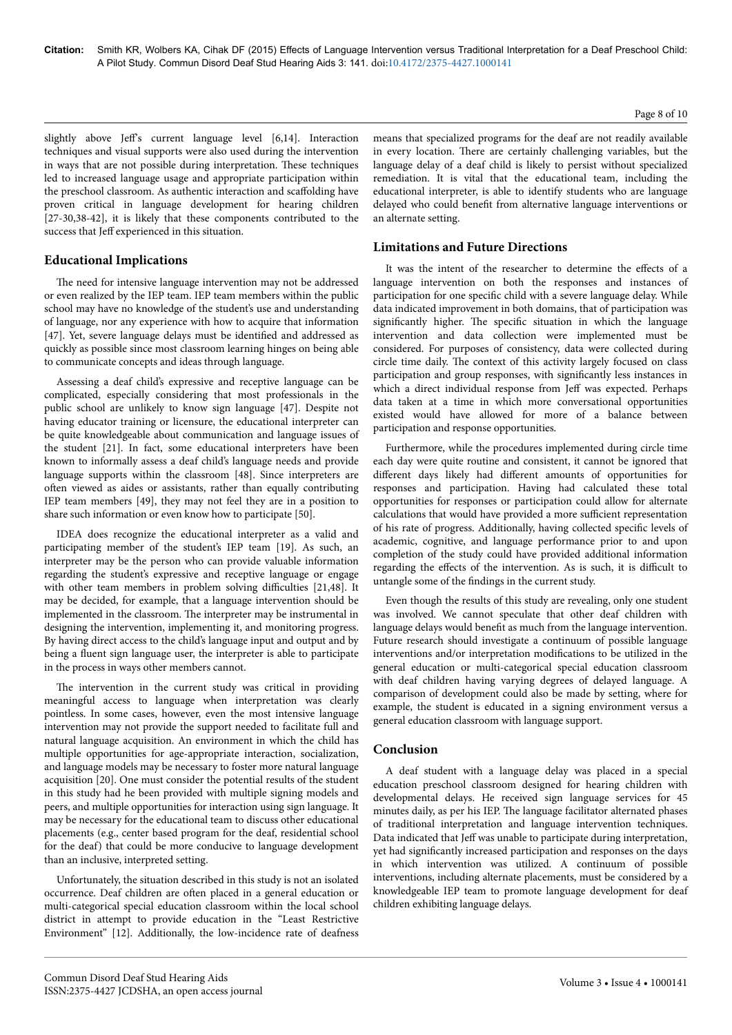slightly above Jeff's current language level [6,14]. Interaction techniques and visual supports were also used during the intervention in ways that are not possible during interpretation. Нese techniques led to increased language usage and appropriate participation within the preschool classroom. As authentic interaction and scaffolding have proven critical in language development for hearing children [27-30,38-42], it is likely that these components contributed to the success that Jeff experienced in this situation.

## **Educational Implications**

The need for intensive language intervention may not be addressed or even realized by the IEP team. IEP team members within the public school may have no knowledge of the student's use and understanding of language, nor any experience with how to acquire that information [47]. Yet, severe language delays must be identified and addressed as quickly as possible since most classroom learning hinges on being able to communicate concepts and ideas through language.

Assessing a deaf child's expressive and receptive language can be complicated, especially considering that most professionals in the public school are unlikely to know sign language [47]. Despite not having educator training or licensure, the educational interpreter can be quite knowledgeable about communication and language issues of the student [21]. In fact, some educational interpreters have been known to informally assess a deaf child's language needs and provide language supports within the classroom [48]. Since interpreters are often viewed as aides or assistants, rather than equally contributing IEP team members [49], they may not feel they are in a position to share such information or even know how to participate [50].

IDEA does recognize the educational interpreter as a valid and participating member of the student's IEP team [19]. As such, an interpreter may be the person who can provide valuable information regarding the student's expressive and receptive language or engage with other team members in problem solving difficulties [21,48]. It may be decided, for example, that a language intervention should be implemented in the classroom. Нe interpreter may be instrumental in designing the intervention, implementing it, and monitoring progress. By having direct access to the child's language input and output and by being a fluent sign language user, the interpreter is able to participate in the process in ways other members cannot.

The intervention in the current study was critical in providing meaningful access to language when interpretation was clearly pointless. In some cases, however, even the most intensive language intervention may not provide the support needed to facilitate full and natural language acquisition. An environment in which the child has multiple opportunities for age-appropriate interaction, socialization, and language models may be necessary to foster more natural language acquisition [20]. One must consider the potential results of the student in this study had he been provided with multiple signing models and peers, and multiple opportunities for interaction using sign language. It may be necessary for the educational team to discuss other educational placements (e.g., center based program for the deaf, residential school for the deaf) that could be more conducive to language development than an inclusive, interpreted setting.

Unfortunately, the situation described in this study is not an isolated occurrence. Deaf children are often placed in a general education or multi-categorical special education classroom within the local school district in attempt to provide education in the "Least Restrictive Environment" [12]. Additionally, the low-incidence rate of deafness means that specialized programs for the deaf are not readily available in every location. Нere are certainly challenging variables, but the language delay of a deaf child is likely to persist without specialized remediation. It is vital that the educational team, including the educational interpreter, is able to identify students who are language delayed who could benefit from alternative language interventions or an alternate setting.

# **Limitations and Future Directions**

It was the intent of the researcher to determine the effects of a language intervention on both the responses and instances of participation for one specific child with a severe language delay. While data indicated improvement in both domains, that of participation was significantly higher. The specific situation in which the language intervention and data collection were implemented must be considered. For purposes of consistency, data were collected during circle time daily. Нe context of this activity largely focused on class participation and group responses, with significantly less instances in which a direct individual response from Jeff was expected. Perhaps data taken at a time in which more conversational opportunities existed would have allowed for more of a balance between participation and response opportunities.

Furthermore, while the procedures implemented during circle time each day were quite routine and consistent, it cannot be ignored that different days likely had different amounts of opportunities for responses and participation. Having had calculated these total opportunities for responses or participation could allow for alternate calculations that would have provided a more sufficient representation of his rate of progress. Additionally, having collected specific levels of academic, cognitive, and language performance prior to and upon completion of the study could have provided additional information regarding the effects of the intervention. As is such, it is difficult to untangle some of the findings in the current study.

Even though the results of this study are revealing, only one student was involved. We cannot speculate that other deaf children with language delays would benefit as much from the language intervention. Future research should investigate a continuum of possible language interventions and/or interpretation modifications to be utilized in the general education or multi-categorical special education classroom with deaf children having varying degrees of delayed language. A comparison of development could also be made by setting, where for example, the student is educated in a signing environment versus a general education classroom with language support.

# **Conclusion**

A deaf student with a language delay was placed in a special education preschool classroom designed for hearing children with developmental delays. He received sign language services for 45 minutes daily, as per his IEP. Нe language facilitator alternated phases of traditional interpretation and language intervention techniques. Data indicated that Jeff was unable to participate during interpretation, yet had significantly increased participation and responses on the days in which intervention was utilized. A continuum of possible interventions, including alternate placements, must be considered by a knowledgeable IEP team to promote language development for deaf children exhibiting language delays.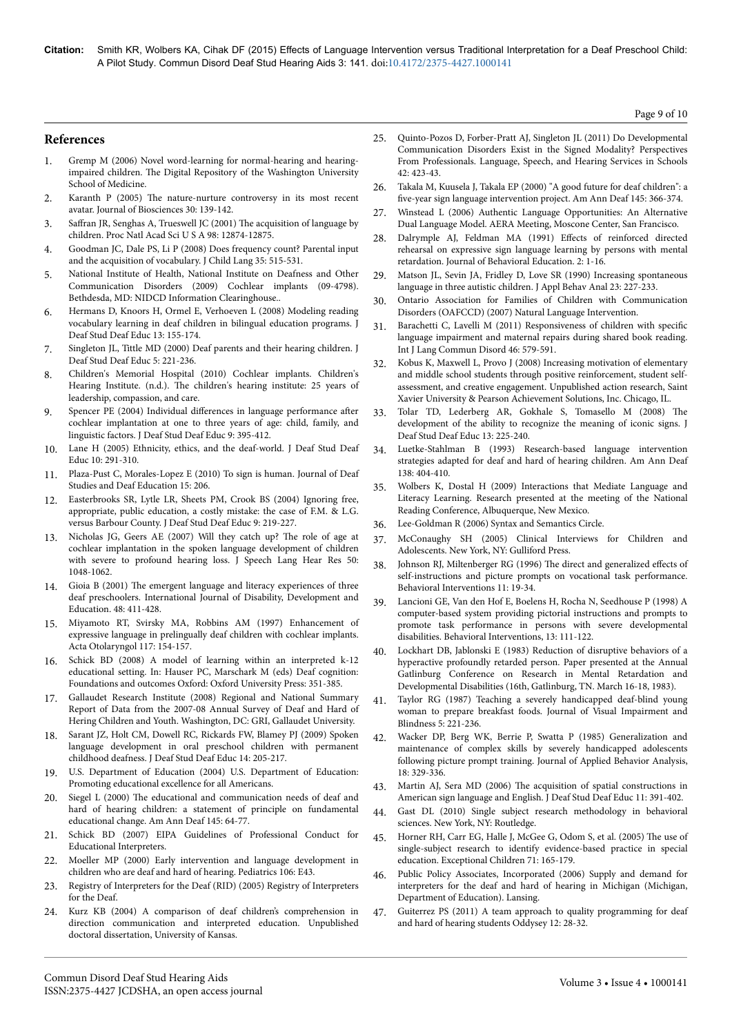**Citation:** Smith KR, Wolbers KA, Cihak DF (2015) Effects of Language Intervention versus Traditional Interpretation for a Deaf Preschool Child: A Pilot Study. Commun Disord Deaf Stud Hearing Aids 3: 141. doi:10.4172/2375-4427.1000141

**References**

- Gremp M (2006) Novel word-learning for normal-hearing and hearingimpaired children. Нe Digital Repository of the Washington University School of Medicine.
- 2. Karanth P (2005) Нe nature-nurture controversy in its most recent avatar. Journal of Biosciences 30: 139-142.
- 3. Saffran [JR, Senghas A, Trueswell JC \(2001\)](http://www.ncbi.nlm.nih.gov/pubmed/11687645) The acquisition of language by [children. Proc Natl Acad Sci U S A 98: 12874-12875.](http://www.ncbi.nlm.nih.gov/pubmed/11687645)
- 4. [Goodman JC, Dale PS, Li P \(2008\) Does frequency count? Parental input](http://www.ncbi.nlm.nih.gov/pubmed/18588713) [and the acquisition of vocabulary. J Child Lang 35: 515-531.](http://www.ncbi.nlm.nih.gov/pubmed/18588713)
- 5. National Institute of Health, National Institute on Deafness and Other Communication Disorders (2009) Cochlear implants (09-4798). Bethdesda, MD: NIDCD Information Clearinghouse..
- 6. Hermans D, Knoors H, Ormel E, Verhoeven L (2008) Modeling reading vocabulary learning in deaf children in bilingual education programs. J Deaf Stud Deaf Educ 13: 155-174.
- 7. [Singleton JL, Tittle MD \(2000\) Deaf parents and their hearing children. J](http://www.ncbi.nlm.nih.gov/pubmed/15454502) [Deaf Stud Deaf Educ 5: 221-236.](http://www.ncbi.nlm.nih.gov/pubmed/15454502)
- 8. Children's Memorial Hospital (2010) Cochlear implants. Children's Hearing Institute. (n.d.). Нe children's hearing institute: 25 years of leadership, compassion, and care.
- 9. [Spencer PE \(2004\) Individual](http://www.ncbi.nlm.nih.gov/pubmed/15314014) differences in language performance after [cochlear implantation at one to three years of age: child, family, and](http://www.ncbi.nlm.nih.gov/pubmed/15314014) [linguistic factors. J Deaf Stud Deaf Educ 9: 395-412.](http://www.ncbi.nlm.nih.gov/pubmed/15314014)
- 10. [Lane H \(2005\) Ethnicity, ethics, and the deaf-world. J Deaf Stud Deaf](http://www.ncbi.nlm.nih.gov/pubmed/15872148) [Educ 10: 291-310.](http://www.ncbi.nlm.nih.gov/pubmed/15872148)
- 11. Plaza-Pust C, Morales-Lopez E (2010) To sign is human. Journal of Deaf Studies and Deaf Education 15: 206.
- 12. [Easterbrooks SR, Lytle LR, Sheets PM, Crook BS \(2004\) Ignoring free,](http://www.ncbi.nlm.nih.gov/pubmed/15304443) [appropriate, public education, a costly mistake: the case of F.M. & L.G.](http://www.ncbi.nlm.nih.gov/pubmed/15304443) [versus Barbour County. J Deaf Stud Deaf Educ 9: 219-227.](http://www.ncbi.nlm.nih.gov/pubmed/15304443)
- 13. [Nicholas JG, Geers AE \(2007\) Will they catch up?](http://www.ncbi.nlm.nih.gov/pubmed/17675604) Нe role of age at [cochlear implantation in the spoken language development of children](http://www.ncbi.nlm.nih.gov/pubmed/17675604) [with severe to profound hearing loss. J Speech Lang Hear Res 50:](http://www.ncbi.nlm.nih.gov/pubmed/17675604) [1048-1062.](http://www.ncbi.nlm.nih.gov/pubmed/17675604)
- 14. Gioia B (2001) Нe emergent language and literacy experiences of three deaf preschoolers. International Journal of Disability, Development and Education. 48: 411-428.
- 15. [Miyamoto RT, Svirsky MA, Robbins AM \(1997\) Enhancement of](http://www.ncbi.nlm.nih.gov/pubmed/9105437) [expressive language in prelingually deaf children with cochlear implants.](http://www.ncbi.nlm.nih.gov/pubmed/9105437) [Acta Otolaryngol 117: 154-157.](http://www.ncbi.nlm.nih.gov/pubmed/9105437)
- 16. Schick BD (2008) A model of learning within an interpreted k-12 educational setting. In: Hauser PC, Marschark M (eds) Deaf cognition: Foundations and outcomes Oxford: Oxford University Press: 351-385.
- 17. Gallaudet Research Institute (2008) Regional and National Summary Report of Data from the 2007-08 Annual Survey of Deaf and Hard of Hering Children and Youth. Washington, DC: GRI, Gallaudet University.
- 18. [Sarant JZ, Holt CM, Dowell RC, Rickards FW, Blamey PJ \(2009\) Spoken](http://www.ncbi.nlm.nih.gov/pubmed/18840616) [language development in oral preschool children with permanent](http://www.ncbi.nlm.nih.gov/pubmed/18840616) [childhood deafness. J Deaf Stud Deaf Educ 14: 205-217.](http://www.ncbi.nlm.nih.gov/pubmed/18840616)
- 19. U.S. Department of Education (2004) U.S. Department of Education: Promoting educational excellence for all Americans.
- 20. Siegel L (2000) Нe [educational and communication needs of deaf and](http://www.ncbi.nlm.nih.gov/pubmed/10954982) [hard of hearing children: a statement of principle on fundamental](http://www.ncbi.nlm.nih.gov/pubmed/10954982) [educational change. Am Ann Deaf 145: 64-77.](http://www.ncbi.nlm.nih.gov/pubmed/10954982)
- 21. Schick BD (2007) EIPA Guidelines of Professional Conduct for Educational Interpreters.
- 22. [Moeller MP \(2000\) Early intervention and language development in](http://www.ncbi.nlm.nih.gov/pubmed/10969127) [children who are deaf and hard of hearing. Pediatrics 106: E43.](http://www.ncbi.nlm.nih.gov/pubmed/10969127)
- 23. Registry of Interpreters for the Deaf (RID) (2005) Registry of Interpreters for the Deaf.
- 24. Kurz KB (2004) A comparison of deaf children's comprehension in direction communication and interpreted education. Unpublished doctoral dissertation, University of Kansas.
- 25. Quinto-Pozos D, Forber-Pratt AJ, Singleton JL (2011) Do Developmental Communication Disorders Exist in the Signed Modality? Perspectives From Professionals. Language, Speech, and Hearing Services in Schools  $42.423 - 43$
- 26. [Takala M, Kuusela J, Takala EP \(2000\) "A good future for deaf children": a](http://www.ncbi.nlm.nih.gov/pubmed/11037068) five-year [sign language intervention project. Am Ann Deaf 145: 366-374.](http://www.ncbi.nlm.nih.gov/pubmed/11037068)
- 27. Winstead L (2006) Authentic Language Opportunities: An Alternative Dual Language Model. AERA Meeting, Moscone Center, San Francisco.
- 28. Dalrymple AJ, Feldman MA (1991) Effects of reinforced directed rehearsal on expressive sign language learning by persons with mental retardation. Journal of Behavioral Education. 2: 1-16.
- 29. [Matson JL, Sevin JA, Fridley D, Love SR \(1990\) Increasing spontaneous](http://www.ncbi.nlm.nih.gov/pubmed/2373659) [language in three autistic children. J Appl Behav Anal 23: 227-233.](http://www.ncbi.nlm.nih.gov/pubmed/2373659)
- 30. Ontario Association for Families of Children with Communication Disorders (OAFCCD) (2007) Natural Language Intervention.
- 31. [Barachetti C, Lavelli M \(2011\) Responsiveness of children with](http://www.ncbi.nlm.nih.gov/pubmed/21899674) specific [language impairment and maternal repairs during shared book reading.](http://www.ncbi.nlm.nih.gov/pubmed/21899674) [Int J Lang Commun Disord 46: 579-591.](http://www.ncbi.nlm.nih.gov/pubmed/21899674)
- 32. Kobus K, Maxwell L, Provo J (2008) Increasing motivation of elementary and middle school students through positive reinforcement, student selfassessment, and creative engagement. Unpublished action research, Saint Xavier University & Pearson Achievement Solutions, Inc. Chicago, IL.
- 33. [Tolar TD, Lederberg AR, Gokhale S, Tomasello M \(2008\)](http://www.ncbi.nlm.nih.gov/pubmed/17827446) Нe [development of the ability to recognize the meaning of iconic signs. J](http://www.ncbi.nlm.nih.gov/pubmed/17827446) [Deaf Stud Deaf Educ 13: 225-240.](http://www.ncbi.nlm.nih.gov/pubmed/17827446)
- 34. [Luetke-Stahlman B \(1993\) Research-based language intervention](http://www.ncbi.nlm.nih.gov/pubmed/8135157) [strategies adapted for deaf and hard of hearing children. Am Ann Deaf](http://www.ncbi.nlm.nih.gov/pubmed/8135157) [138: 404-410.](http://www.ncbi.nlm.nih.gov/pubmed/8135157)
- 35. Wolbers K, Dostal H (2009) Interactions that Mediate Language and Literacy Learning. Research presented at the meeting of the National Reading Conference, Albuquerque, New Mexico.
- 36. Lee-Goldman R (2006) Syntax and Semantics Circle.
- 37. McConaughy SH (2005) Clinical Interviews for Children and Adolescents. New York, NY: Gulliford Press.
- 38. Johnson RJ, Miltenberger RG (1996) The direct and generalized effects of self-instructions and picture prompts on vocational task performance. Behavioral Interventions 11: 19-34.
- 39. Lancioni GE, Van den Hof E, Boelens H, Rocha N, Seedhouse P (1998) A computer-based system providing pictorial instructions and prompts to promote task performance in persons with severe developmental disabilities. Behavioral Interventions, 13: 111-122.
- Lockhart DB, Jablonski E (1983) Reduction of disruptive behaviors of a hyperactive profoundly retarded person. Paper presented at the Annual Gatlinburg Conference on Research in Mental Retardation and Developmental Disabilities (16th, Gatlinburg, TN. March 16-18, 1983).
- 41. Taylor RG (1987) Teaching a severely handicapped deaf-blind young woman to prepare breakfast foods. Journal of Visual Impairment and Blindness 5: 221-236.
- 42. Wacker DP, Berg WK, Berrie P, Swatta P (1985) Generalization and maintenance of complex skills by severely handicapped adolescents following picture prompt training. Journal of Applied Behavior Analysis, 18: 329-336.
- 43. Martin AJ, Sera MD (2006) Нe [acquisition of spatial constructions in](http://www.ncbi.nlm.nih.gov/pubmed/16785257) [American sign language and English. J Deaf Stud Deaf Educ 11: 391-402.](http://www.ncbi.nlm.nih.gov/pubmed/16785257)
- 44. Gast DL (2010) Single subject research methodology in behavioral sciences. New York, NY: Routledge.
- 45. Horner RH, Carr EG, Halle J, McGee G, Odom S, et al. (2005) Нe use of single-subject research to identify evidence-based practice in special education. Exceptional Children 71: 165-179.
- 46. Public Policy Associates, Incorporated (2006) Supply and demand for interpreters for the deaf and hard of hearing in Michigan (Michigan, Department of Education). Lansing.
- 47. Guiterrez PS (2011) A team approach to quality programming for deaf and hard of hearing students Oddysey 12: 28-32.